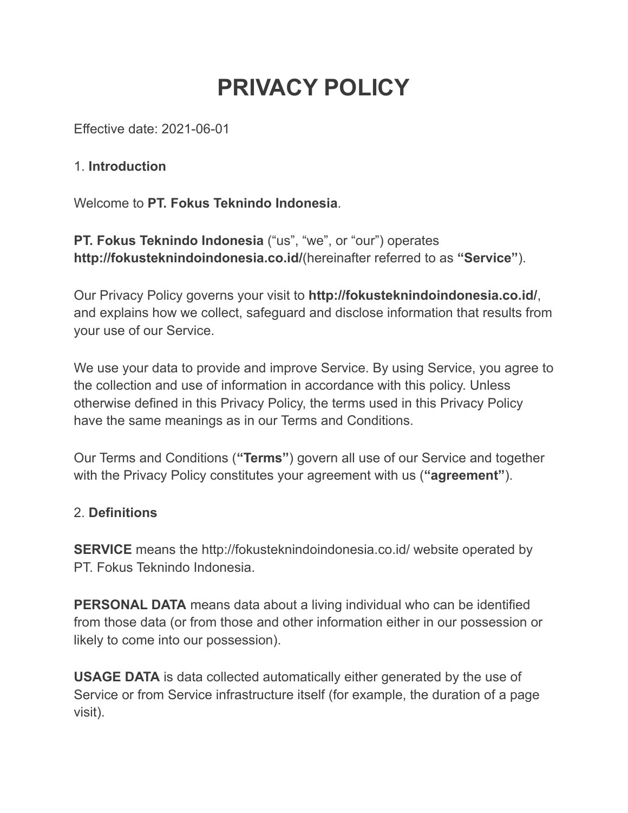# **PRIVACY POLICY**

Effective date: 2021-06-01

## 1. **Introduction**

Welcome to **PT. Fokus Teknindo Indonesia**.

**PT. Fokus Teknindo Indonesia** ("us", "we", or "our") operates **http://fokusteknindoindonesia.co.id/**(hereinafter referred to as **"Service"**).

Our Privacy Policy governs your visit to **http://fokusteknindoindonesia.co.id/**, and explains how we collect, safeguard and disclose information that results from your use of our Service.

We use your data to provide and improve Service. By using Service, you agree to the collection and use of information in accordance with this policy. Unless otherwise defined in this Privacy Policy, the terms used in this Privacy Policy have the same meanings as in our Terms and Conditions.

Our Terms and Conditions (**"Terms"**) govern all use of our Service and together with the Privacy Policy constitutes your agreement with us (**"agreement"**).

# 2. **Definitions**

**SERVICE** means the http://fokusteknindoindonesia.co.id/ website operated by PT. Fokus Teknindo Indonesia.

**PERSONAL DATA** means data about a living individual who can be identified from those data (or from those and other information either in our possession or likely to come into our possession).

**USAGE DATA** is data collected automatically either generated by the use of Service or from Service infrastructure itself (for example, the duration of a page visit).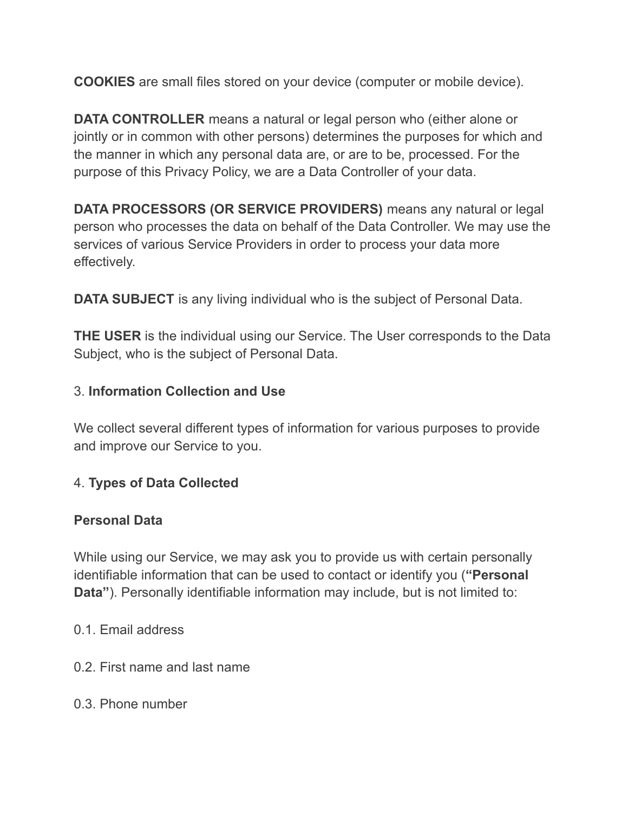**COOKIES** are small files stored on your device (computer or mobile device).

**DATA CONTROLLER** means a natural or legal person who (either alone or jointly or in common with other persons) determines the purposes for which and the manner in which any personal data are, or are to be, processed. For the purpose of this Privacy Policy, we are a Data Controller of your data.

**DATA PROCESSORS (OR SERVICE PROVIDERS)** means any natural or legal person who processes the data on behalf of the Data Controller. We may use the services of various Service Providers in order to process your data more effectively.

**DATA SUBJECT** is any living individual who is the subject of Personal Data.

**THE USER** is the individual using our Service. The User corresponds to the Data Subject, who is the subject of Personal Data.

#### 3. **Information Collection and Use**

We collect several different types of information for various purposes to provide and improve our Service to you.

#### 4. **Types of Data Collected**

#### **Personal Data**

While using our Service, we may ask you to provide us with certain personally identifiable information that can be used to contact or identify you (**"Personal Data"**). Personally identifiable information may include, but is not limited to:

#### 0.1. Email address

- 0.2. First name and last name
- 0.3. Phone number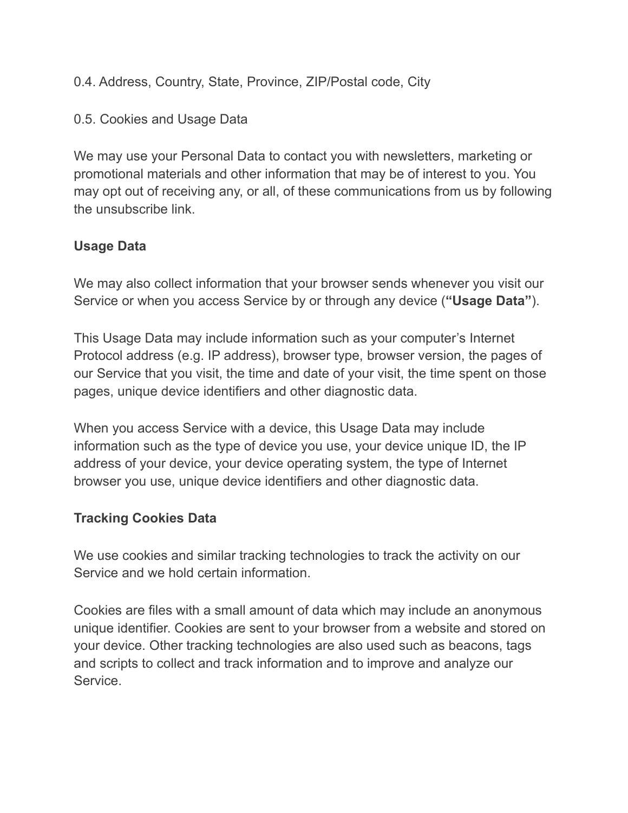0.4. Address, Country, State, Province, ZIP/Postal code, City

0.5. Cookies and Usage Data

We may use your Personal Data to contact you with newsletters, marketing or promotional materials and other information that may be of interest to you. You may opt out of receiving any, or all, of these communications from us by following the unsubscribe link.

## **Usage Data**

We may also collect information that your browser sends whenever you visit our Service or when you access Service by or through any device (**"Usage Data"**).

This Usage Data may include information such as your computer's Internet Protocol address (e.g. IP address), browser type, browser version, the pages of our Service that you visit, the time and date of your visit, the time spent on those pages, unique device identifiers and other diagnostic data.

When you access Service with a device, this Usage Data may include information such as the type of device you use, your device unique ID, the IP address of your device, your device operating system, the type of Internet browser you use, unique device identifiers and other diagnostic data.

#### **Tracking Cookies Data**

We use cookies and similar tracking technologies to track the activity on our Service and we hold certain information.

Cookies are files with a small amount of data which may include an anonymous unique identifier. Cookies are sent to your browser from a website and stored on your device. Other tracking technologies are also used such as beacons, tags and scripts to collect and track information and to improve and analyze our Service.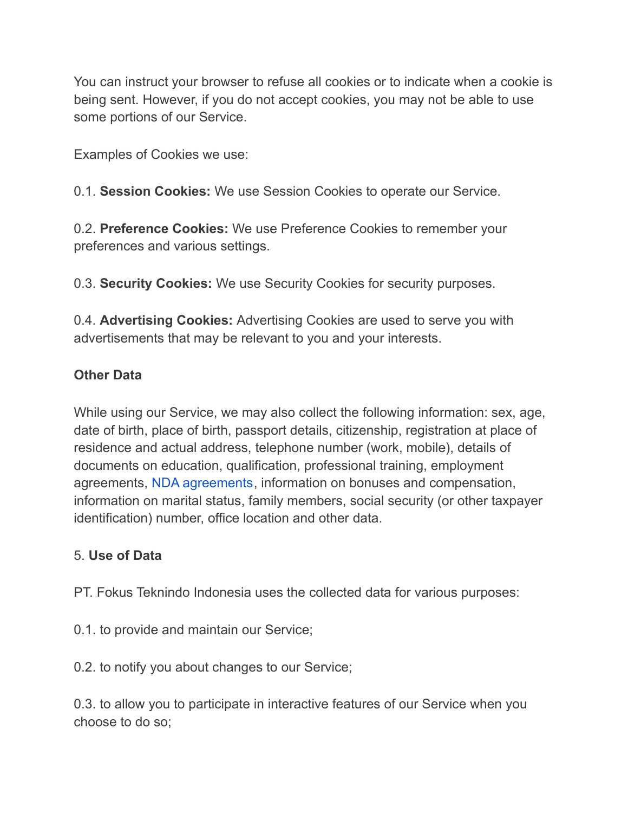You can instruct your browser to refuse all cookies or to indicate when a cookie is being sent. However, if you do not accept cookies, you may not be able to use some portions of our Service.

Examples of Cookies we use:

0.1. **Session Cookies:** We use Session Cookies to operate our Service.

0.2. **Preference Cookies:** We use Preference Cookies to remember your preferences and various settings.

0.3. **Security Cookies:** We use Security Cookies for security purposes.

0.4. **Advertising Cookies:** Advertising Cookies are used to serve you with advertisements that may be relevant to you and your interests.

## **Other Data**

While using our Service, we may also collect the following information: sex, age, date of birth, place of birth, passport details, citizenship, registration at place of residence and actual address, telephone number (work, mobile), details of documents on education, qualification, professional training, employment agreements, NDA [agreements,](https://policymaker.io/non-disclosure-agreement/) information on bonuses and compensation, information on marital status, family members, social security (or other taxpayer identification) number, office location and other data.

#### 5. **Use of Data**

PT. Fokus Teknindo Indonesia uses the collected data for various purposes:

0.1. to provide and maintain our Service;

0.2. to notify you about changes to our Service;

0.3. to allow you to participate in interactive features of our Service when you choose to do so;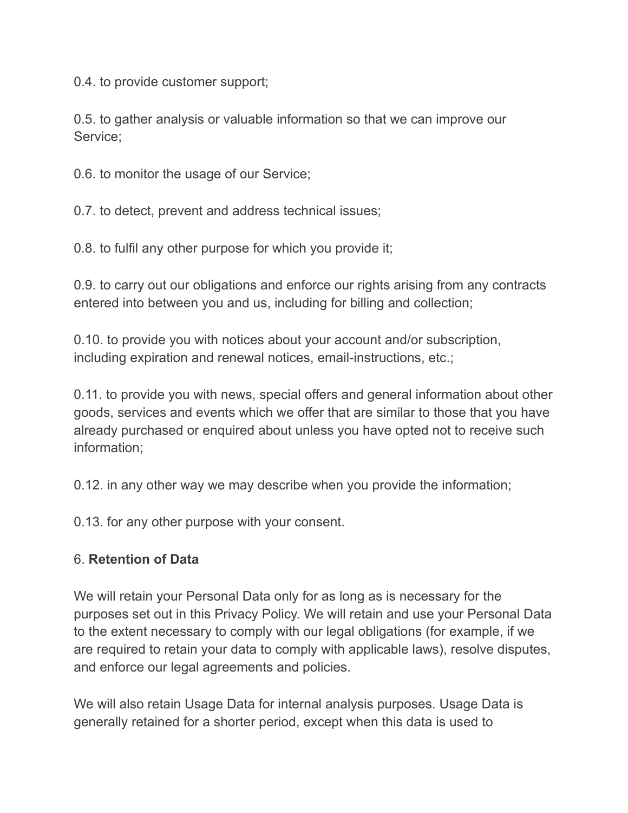0.4. to provide customer support;

0.5. to gather analysis or valuable information so that we can improve our Service;

0.6. to monitor the usage of our Service;

0.7. to detect, prevent and address technical issues;

0.8. to fulfil any other purpose for which you provide it;

0.9. to carry out our obligations and enforce our rights arising from any contracts entered into between you and us, including for billing and collection;

0.10. to provide you with notices about your account and/or subscription, including expiration and renewal notices, email-instructions, etc.;

0.11. to provide you with news, special offers and general information about other goods, services and events which we offer that are similar to those that you have already purchased or enquired about unless you have opted not to receive such information;

0.12. in any other way we may describe when you provide the information;

0.13. for any other purpose with your consent.

## 6. **Retention of Data**

We will retain your Personal Data only for as long as is necessary for the purposes set out in this Privacy Policy. We will retain and use your Personal Data to the extent necessary to comply with our legal obligations (for example, if we are required to retain your data to comply with applicable laws), resolve disputes, and enforce our legal agreements and policies.

We will also retain Usage Data for internal analysis purposes. Usage Data is generally retained for a shorter period, except when this data is used to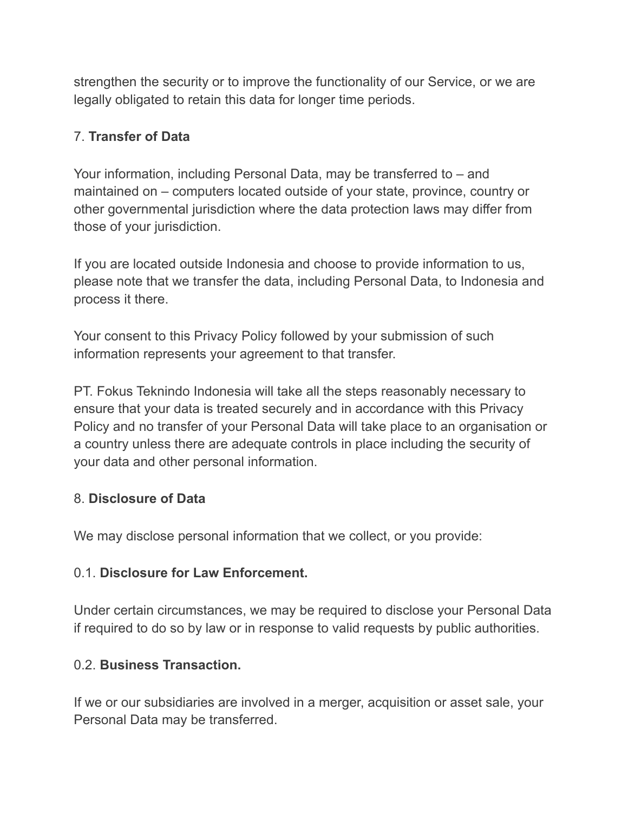strengthen the security or to improve the functionality of our Service, or we are legally obligated to retain this data for longer time periods.

## 7. **Transfer of Data**

Your information, including Personal Data, may be transferred to – and maintained on – computers located outside of your state, province, country or other governmental jurisdiction where the data protection laws may differ from those of your jurisdiction.

If you are located outside Indonesia and choose to provide information to us, please note that we transfer the data, including Personal Data, to Indonesia and process it there.

Your consent to this Privacy Policy followed by your submission of such information represents your agreement to that transfer.

PT. Fokus Teknindo Indonesia will take all the steps reasonably necessary to ensure that your data is treated securely and in accordance with this Privacy Policy and no transfer of your Personal Data will take place to an organisation or a country unless there are adequate controls in place including the security of your data and other personal information.

## 8. **Disclosure of Data**

We may disclose personal information that we collect, or you provide:

#### 0.1. **Disclosure for Law Enforcement.**

Under certain circumstances, we may be required to disclose your Personal Data if required to do so by law or in response to valid requests by public authorities.

#### 0.2. **Business Transaction.**

If we or our subsidiaries are involved in a merger, acquisition or asset sale, your Personal Data may be transferred.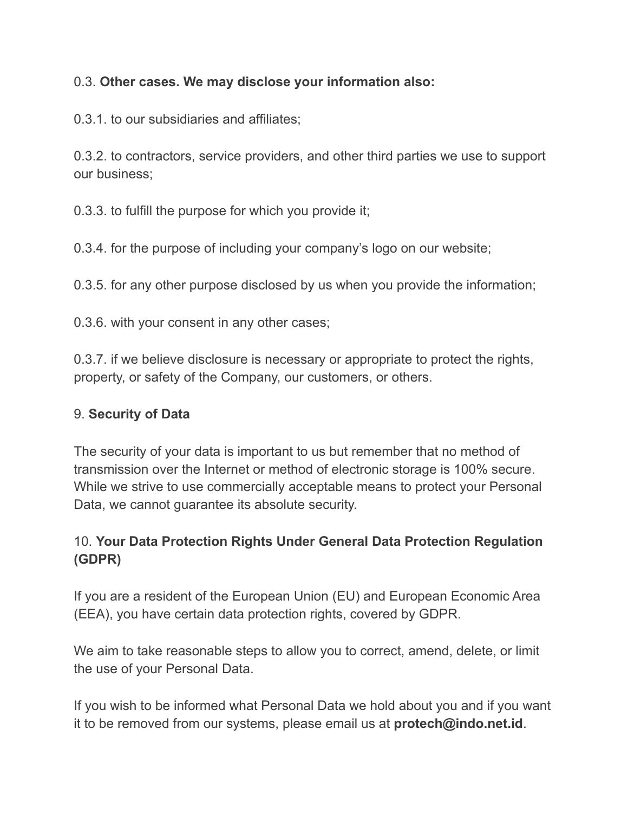## 0.3. **Other cases. We may disclose your information also:**

0.3.1. to our subsidiaries and affiliates;

0.3.2. to contractors, service providers, and other third parties we use to support our business;

0.3.3. to fulfill the purpose for which you provide it;

0.3.4. for the purpose of including your company's logo on our website;

0.3.5. for any other purpose disclosed by us when you provide the information;

0.3.6. with your consent in any other cases;

0.3.7. if we believe disclosure is necessary or appropriate to protect the rights, property, or safety of the Company, our customers, or others.

## 9. **Security of Data**

The security of your data is important to us but remember that no method of transmission over the Internet or method of electronic storage is 100% secure. While we strive to use commercially acceptable means to protect your Personal Data, we cannot guarantee its absolute security.

# 10. **Your Data Protection Rights Under General Data Protection Regulation (GDPR)**

If you are a resident of the European Union (EU) and European Economic Area (EEA), you have certain data protection rights, covered by GDPR.

We aim to take reasonable steps to allow you to correct, amend, delete, or limit the use of your Personal Data.

If you wish to be informed what Personal Data we hold about you and if you want it to be removed from our systems, please email us at **protech@indo.net.id**.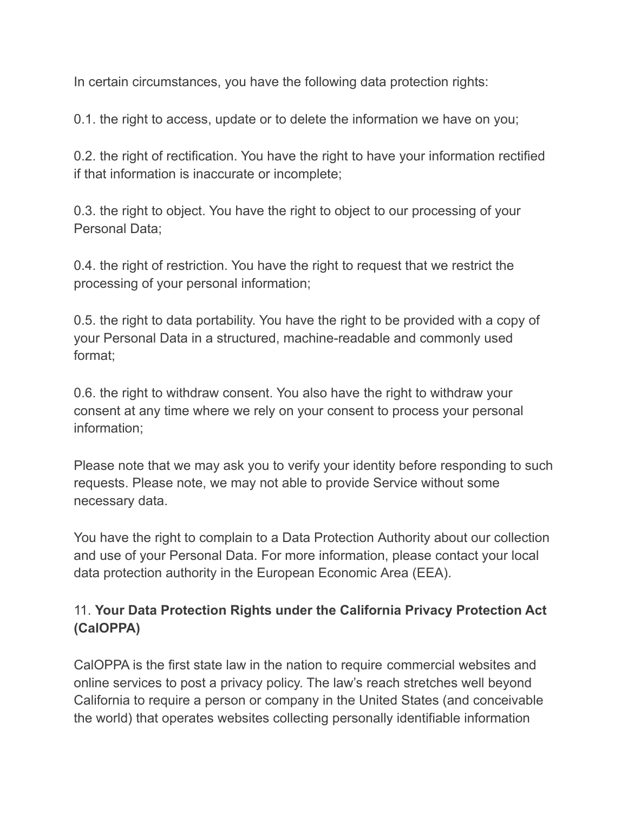In certain circumstances, you have the following data protection rights:

0.1. the right to access, update or to delete the information we have on you;

0.2. the right of rectification. You have the right to have your information rectified if that information is inaccurate or incomplete;

0.3. the right to object. You have the right to object to our processing of your Personal Data;

0.4. the right of restriction. You have the right to request that we restrict the processing of your personal information;

0.5. the right to data portability. You have the right to be provided with a copy of your Personal Data in a structured, machine-readable and commonly used format;

0.6. the right to withdraw consent. You also have the right to withdraw your consent at any time where we rely on your consent to process your personal information;

Please note that we may ask you to verify your identity before responding to such requests. Please note, we may not able to provide Service without some necessary data.

You have the right to complain to a Data Protection Authority about our collection and use of your Personal Data. For more information, please contact your local data protection authority in the European Economic Area (EEA).

# 11. **Your Data Protection Rights under the California Privacy Protection Act (CalOPPA)**

CalOPPA is the first state law in the nation to require commercial websites and online services to post a privacy policy. The law's reach stretches well beyond California to require a person or company in the United States (and conceivable the world) that operates websites collecting personally identifiable information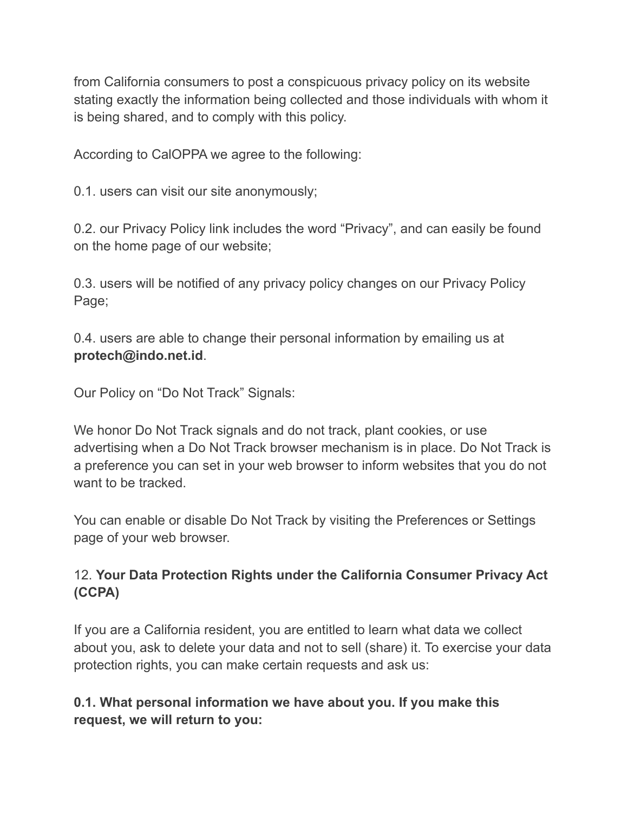from California consumers to post a conspicuous privacy policy on its website stating exactly the information being collected and those individuals with whom it is being shared, and to comply with this policy.

According to CalOPPA we agree to the following:

0.1. users can visit our site anonymously;

0.2. our Privacy Policy link includes the word "Privacy", and can easily be found on the home page of our website;

0.3. users will be notified of any privacy policy changes on our Privacy Policy Page;

0.4. users are able to change their personal information by emailing us at **protech@indo.net.id**.

Our Policy on "Do Not Track" Signals:

We honor Do Not Track signals and do not track, plant cookies, or use advertising when a Do Not Track browser mechanism is in place. Do Not Track is a preference you can set in your web browser to inform websites that you do not want to be tracked.

You can enable or disable Do Not Track by visiting the Preferences or Settings page of your web browser.

# 12. **Your Data Protection Rights under the California Consumer Privacy Act (CCPA)**

If you are a California resident, you are entitled to learn what data we collect about you, ask to delete your data and not to sell (share) it. To exercise your data protection rights, you can make certain requests and ask us:

# **0.1. What personal information we have about you. If you make this request, we will return to you:**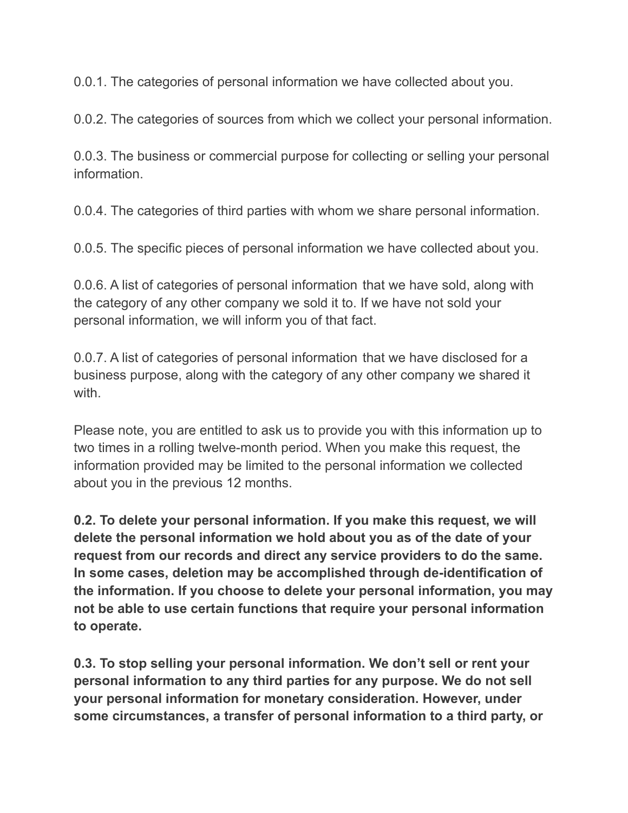0.0.1. The categories of personal information we have collected about you.

0.0.2. The categories of sources from which we collect your personal information.

0.0.3. The business or commercial purpose for collecting or selling your personal information.

0.0.4. The categories of third parties with whom we share personal information.

0.0.5. The specific pieces of personal information we have collected about you.

0.0.6. A list of categories of personal information that we have sold, along with the category of any other company we sold it to. If we have not sold your personal information, we will inform you of that fact.

0.0.7. A list of categories of personal information that we have disclosed for a business purpose, along with the category of any other company we shared it with.

Please note, you are entitled to ask us to provide you with this information up to two times in a rolling twelve-month period. When you make this request, the information provided may be limited to the personal information we collected about you in the previous 12 months.

**0.2. To delete your personal information. If you make this request, we will delete the personal information we hold about you as of the date of your request from our records and direct any service providers to do the same. In some cases, deletion may be accomplished through de-identification of the information. If you choose to delete your personal information, you may not be able to use certain functions that require your personal information to operate.**

**0.3. To stop selling your personal information. We don't sell or rent your personal information to any third parties for any purpose. We do not sell your personal information for monetary consideration. However, under some circumstances, a transfer of personal information to a third party, or**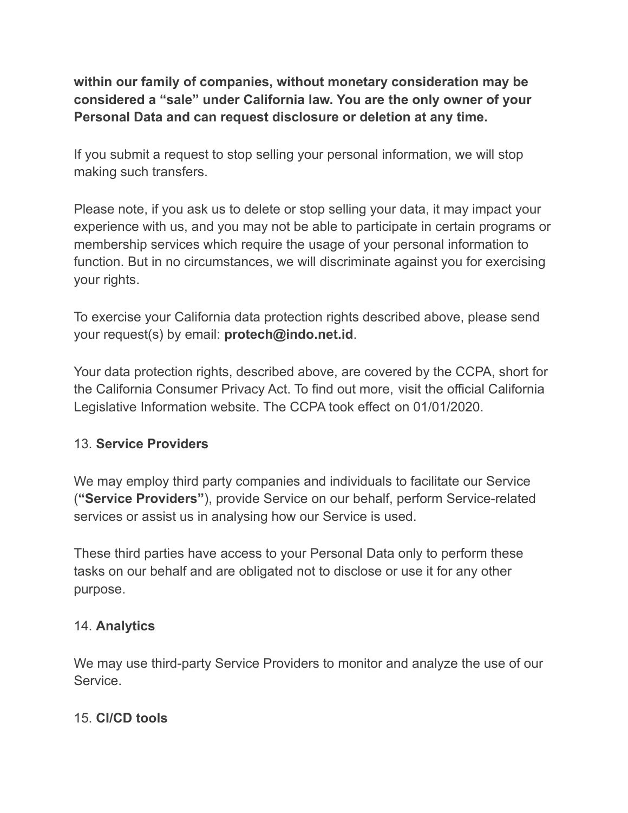**within our family of companies, without monetary consideration may be considered a "sale" under California law. You are the only owner of your Personal Data and can request disclosure or deletion at any time.**

If you submit a request to stop selling your personal information, we will stop making such transfers.

Please note, if you ask us to delete or stop selling your data, it may impact your experience with us, and you may not be able to participate in certain programs or membership services which require the usage of your personal information to function. But in no circumstances, we will discriminate against you for exercising your rights.

To exercise your California data protection rights described above, please send your request(s) by email: **protech@indo.net.id**.

Your data protection rights, described above, are covered by the CCPA, short for the California Consumer Privacy Act. To find out more, visit the official California Legislative Information website. The CCPA took effect on 01/01/2020.

## 13. **Service Providers**

We may employ third party companies and individuals to facilitate our Service (**"Service Providers"**), provide Service on our behalf, perform Service-related services or assist us in analysing how our Service is used.

These third parties have access to your Personal Data only to perform these tasks on our behalf and are obligated not to disclose or use it for any other purpose.

## 14. **Analytics**

We may use third-party Service Providers to monitor and analyze the use of our Service.

## 15. **CI/CD tools**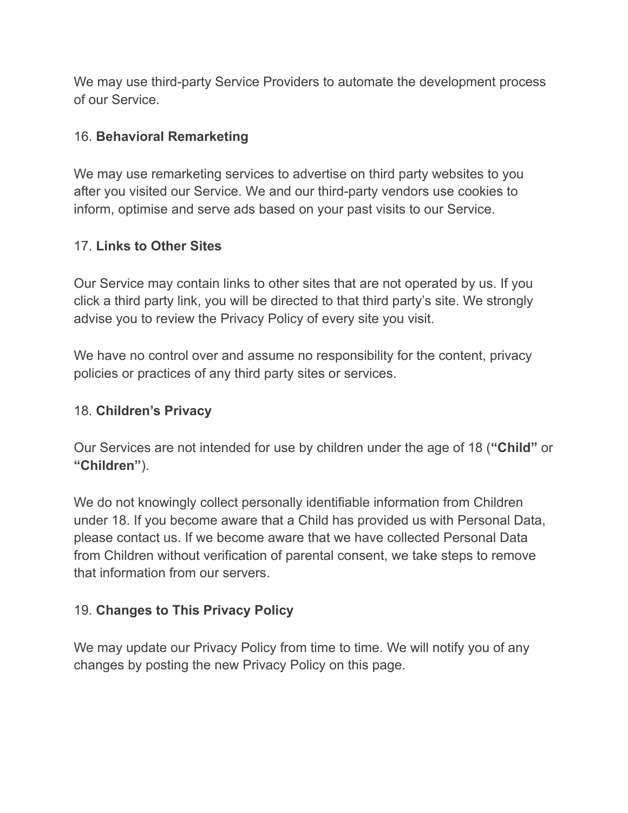We may use third-party Service Providers to automate the development process of our Service.

#### 16. **Behavioral Remarketing**

We may use remarketing services to advertise on third party websites to you after you visited our Service. We and our third-party vendors use cookies to inform, optimise and serve ads based on your past visits to our Service.

#### 17. **Links to Other Sites**

Our Service may contain links to other sites that are not operated by us. If you click a third party link, you will be directed to that third party's site. We strongly advise you to review the Privacy Policy of every site you visit.

We have no control over and assume no responsibility for the content, privacy policies or practices of any third party sites or services.

#### 18. **Children's Privacy**

Our Services are not intended for use by children under the age of 18 (**"Child"** or **"Children"**).

We do not knowingly collect personally identifiable information from Children under 18. If you become aware that a Child has provided us with Personal Data, please contact us. If we become aware that we have collected Personal Data from Children without verification of parental consent, we take steps to remove that information from our servers.

#### 19. **Changes to This Privacy Policy**

We may update our Privacy Policy from time to time. We will notify you of any changes by posting the new Privacy Policy on this page.